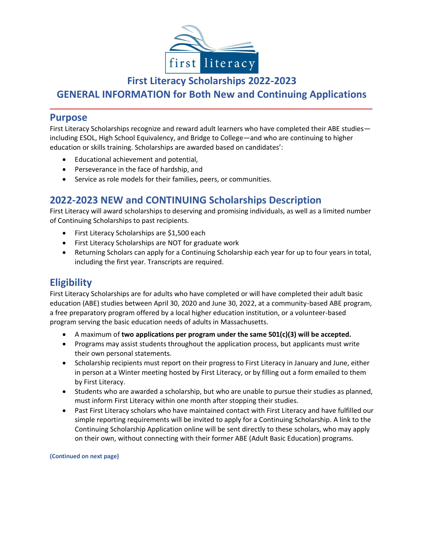

**First Literacy Scholarships 2022-2023** 

## **GENERAL INFORMATION for Both New and Continuing Applications \_\_\_\_\_\_\_\_\_\_\_\_\_\_\_\_\_\_\_\_\_\_\_\_\_\_\_\_\_\_\_\_\_\_\_\_\_\_\_\_\_\_\_\_\_\_\_\_\_\_\_\_\_\_\_\_\_\_\_\_\_\_\_\_\_\_\_\_\_\_\_\_\_\_\_\_\_\_\_\_\_\_\_\_\_**

## **Purpose**

First Literacy Scholarships recognize and reward adult learners who have completed their ABE studies including ESOL, High School Equivalency, and Bridge to College—and who are continuing to higher education or skills training. Scholarships are awarded based on candidates':

- Educational achievement and potential,
- Perseverance in the face of hardship, and
- Service as role models for their families, peers, or communities.

# **2022-2023 NEW and CONTINUING Scholarships Description**

First Literacy will award scholarships to deserving and promising individuals, as well as a limited number of Continuing Scholarships to past recipients.

- First Literacy Scholarships are \$1,500 each
- First Literacy Scholarships are NOT for graduate work
- Returning Scholars can apply for a Continuing Scholarship each year for up to four years in total, including the first year. Transcripts are required.

# **Eligibility**

First Literacy Scholarships are for adults who have completed or will have completed their adult basic education (ABE) studies between April 30, 2020 and June 30, 2022, at a community-based ABE program, a free preparatory program offered by a local higher education institution, or a volunteer-based program serving the basic education needs of adults in Massachusetts.

- A maximum of **two applications per program under the same 501(c)(3) will be accepted.**
- Programs may assist students throughout the application process, but applicants must write their own personal statements.
- Scholarship recipients must report on their progress to First Literacy in January and June, either in person at a Winter meeting hosted by First Literacy, or by filling out a form emailed to them by First Literacy.
- Students who are awarded a scholarship, but who are unable to pursue their studies as planned, must inform First Literacy within one month after stopping their studies.
- Past First Literacy scholars who have maintained contact with First Literacy and have fulfilled our simple reporting requirements will be invited to apply for a Continuing Scholarship. A link to the Continuing Scholarship Application online will be sent directly to these scholars, who may apply on their own, without connecting with their former ABE (Adult Basic Education) programs.

**(Continued on next page)**